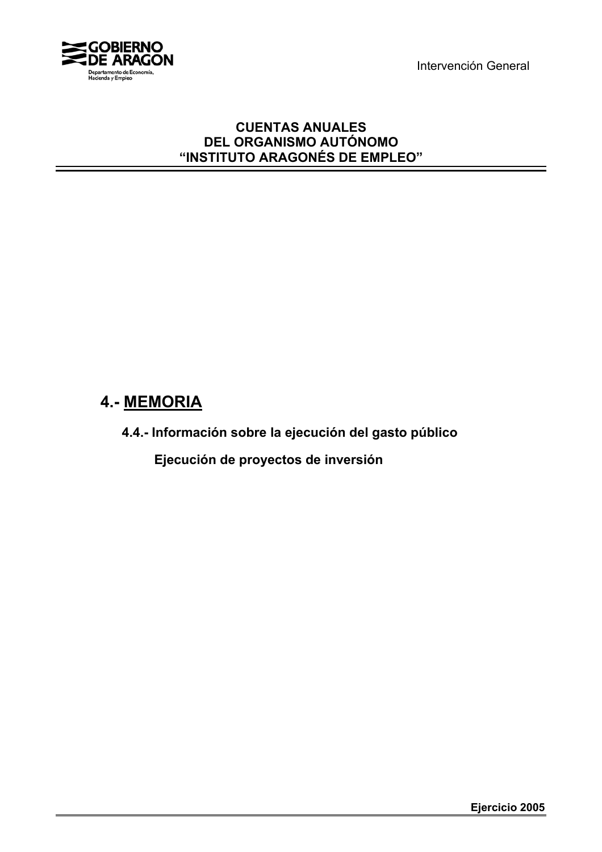Intervención General



# **CUENTAS ANUALES DEL ORGANISMO AUTÓNOMO "INSTITUTO ARAGONÉS DE EMPLEO"**

# **4.- MEMORIA**

**4.4.- Información sobre la ejecución del gasto público**

 **Ejecución de proyectos de inversión**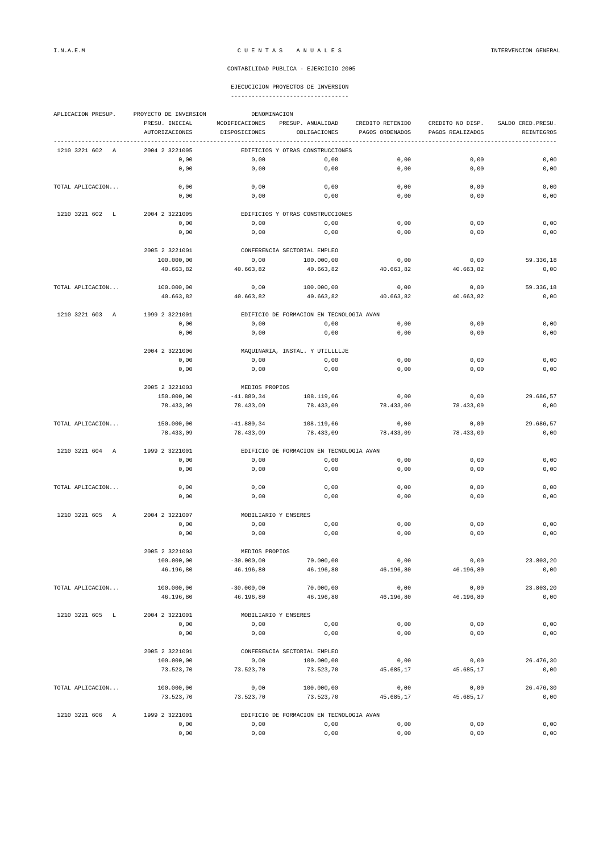## I.N.A.E.M C U E N T A S A N U A L E S INTERVENCION GENERAL

#### CONTABILIDAD PUBLICA - EJERCICIO 2005

#### EJECUCICION PROYECTOS DE INVERSION ----------------------------------

| APLICACION PRESUP. | PROYECTO DE INVERSION<br>DENOMINACION |                                          |                                          |                  |                  |                    |  |
|--------------------|---------------------------------------|------------------------------------------|------------------------------------------|------------------|------------------|--------------------|--|
|                    | PRESU. INICIAL                        | MODIFICACIONES                           | PRESUP. ANUALIDAD                        | CREDITO RETENIDO | CREDITO NO DISP. | SALDO CRED. PRESU. |  |
|                    | AUTORIZACIONES                        | DISPOSICIONES                            | OBLIGACIONES                             | PAGOS ORDENADOS  | PAGOS REALIZADOS | REINTEGROS         |  |
| 1210 3221 602 A    | 2004 2 3221005                        |                                          | EDIFICIOS Y OTRAS CONSTRUCCIONES         |                  |                  |                    |  |
|                    | 0,00                                  | 0,00                                     | 0,00                                     | 0,00             | 0,00             | 0,00               |  |
|                    | 0,00                                  | 0,00                                     | 0,00                                     | 0,00             | 0,00             | 0,00               |  |
|                    |                                       |                                          |                                          |                  |                  |                    |  |
| TOTAL APLICACION   | 0,00                                  | 0,00                                     | 0,00                                     | 0,00             | 0,00             | 0,00               |  |
|                    | 0,00                                  | 0,00                                     | 0,00                                     | 0,00             | 0,00             | 0,00               |  |
|                    |                                       |                                          |                                          |                  |                  |                    |  |
| 1210 3221 602 L    | 2004 2 3221005                        |                                          | EDIFICIOS Y OTRAS CONSTRUCCIONES         |                  |                  |                    |  |
|                    | 0,00                                  | 0,00                                     | 0,00                                     | 0,00             | 0,00             | 0,00               |  |
|                    | 0,00                                  | 0,00                                     | 0,00                                     | 0,00             | 0,00             | 0,00               |  |
|                    |                                       |                                          | CONFERENCIA SECTORIAL EMPLEO             |                  |                  |                    |  |
|                    | 2005 2 3221001<br>100.000,00          | 0,00                                     | 100.000,00                               | 0,00             | 0,00             | 59.336,18          |  |
|                    | 40.663,82                             | 40.663,82                                | 40.663,82                                | 40.663,82        | 40.663,82        | 0,00               |  |
|                    |                                       |                                          |                                          |                  |                  |                    |  |
| TOTAL APLICACION   | 100.000,00                            | 0,00                                     | 100.000,00                               | 0,00             | 0,00             | 59.336,18          |  |
|                    | 40.663,82                             | 40.663,82                                | 40.663,82                                | 40.663,82        | 40.663,82        | 0,00               |  |
|                    |                                       |                                          |                                          |                  |                  |                    |  |
| 1210 3221 603 A    | 1999 2 3221001                        |                                          | EDIFICIO DE FORMACION EN TECNOLOGIA AVAN |                  |                  |                    |  |
|                    | 0,00                                  | 0,00                                     | 0,00                                     | 0,00             | 0,00             | 0,00               |  |
|                    | 0,00                                  | 0,00                                     | 0,00                                     | 0,00             | 0,00             | 0,00               |  |
|                    |                                       |                                          |                                          |                  |                  |                    |  |
|                    | 2004 2 3221006                        |                                          | MAQUINARIA, INSTAL. Y UTILLLLJE          |                  |                  |                    |  |
|                    | 0,00                                  | 0,00                                     | 0,00                                     | 0,00             | 0,00             | 0,00               |  |
|                    | 0,00                                  | 0,00                                     | 0,00                                     | 0,00             | 0,00             | 0,00               |  |
|                    | 2005 2 3221003                        | MEDIOS PROPIOS                           |                                          |                  |                  |                    |  |
|                    | 150.000,00                            | $-41.880, 34$                            | 108.119,66                               | 0,00             | 0,00             | 29.686,57          |  |
|                    | 78.433,09                             | 78.433,09                                | 78.433,09                                | 78.433,09        | 78.433,09        | 0,00               |  |
|                    |                                       |                                          |                                          |                  |                  |                    |  |
| TOTAL APLICACION   | 150.000,00                            | $-41.880, 34$                            | 108.119,66                               | 0,00             | 0,00             | 29.686,57          |  |
|                    | 78.433,09                             | 78.433,09                                | 78.433,09                                | 78.433,09        | 78.433,09        | 0,00               |  |
|                    |                                       |                                          |                                          |                  |                  |                    |  |
| 1210 3221 604 A    | 1999 2 3221001                        | EDIFICIO DE FORMACION EN TECNOLOGIA AVAN |                                          |                  |                  |                    |  |
|                    | 0,00                                  | 0,00                                     | 0,00                                     | 0,00             | 0,00             | 0,00               |  |
|                    | 0,00                                  | 0,00                                     | 0,00                                     | 0,00             | 0,00             | 0,00               |  |
|                    |                                       |                                          |                                          |                  |                  |                    |  |
| TOTAL APLICACION   | 0,00<br>0,00                          | 0,00<br>0,00                             | 0,00<br>0,00                             | 0,00<br>0,00     | 0,00<br>0,00     | 0,00<br>0,00       |  |
|                    |                                       |                                          |                                          |                  |                  |                    |  |
| 1210 3221 605<br>A | 2004 2 3221007                        |                                          | MOBILIARIO Y ENSERES                     |                  |                  |                    |  |
|                    | 0,00                                  | 0,00                                     | 0,00                                     | 0,00             | 0,00             | 0,00               |  |
|                    | 0,00                                  | 0,00                                     | 0,00                                     | 0,00             | 0,00             | 0,00               |  |
|                    |                                       |                                          |                                          |                  |                  |                    |  |
|                    | 2005 2 3221003                        | MEDIOS PROPIOS                           |                                          |                  |                  |                    |  |
|                    | 100.000,00                            | $-30.000,00$                             | 70.000,00                                | 0,00             | 0,00             | 23.803,20          |  |
|                    | 46.196,80                             | 46.196,80                                | 46.196,80                                | 46.196,80        | 46.196,80        | 0,00               |  |
|                    |                                       |                                          |                                          |                  |                  |                    |  |
| TOTAL APLICACION   | 100.000,00                            | $-30.000,00$                             | 70.000,00                                | 0,00             | 0,00             | 23.803,20          |  |
|                    | 46.196,80                             | 46.196,80                                | 46.196,80                                | 46.196,80        | 46.196,80        | 0,00               |  |
|                    | 2004 2 3221001                        |                                          | MOBILIARIO Y ENSERES                     |                  |                  |                    |  |
| 1210 3221 605 L    | 0,00                                  | 0,00                                     | 0,00                                     | 0,00             | 0,00             | 0,00               |  |
|                    | 0,00                                  | 0,00                                     | 0,00                                     | 0,00             | 0,00             | 0,00               |  |
|                    |                                       |                                          |                                          |                  |                  |                    |  |
|                    | 2005 2 3221001                        | CONFERENCIA SECTORIAL EMPLEO             |                                          |                  |                  |                    |  |
|                    | 100.000,00                            | 0,00                                     | 100.000,00                               | 0,00             | 0,00             | 26.476,30          |  |
|                    | 73.523,70                             | 73.523,70                                | 73.523,70                                | 45.685,17        | 45.685,17        | 0,00               |  |
|                    |                                       |                                          |                                          |                  |                  |                    |  |
| TOTAL APLICACION   | 100.000,00                            | 0,00                                     | 100.000,00                               | 0,00             | 0,00             | 26.476,30          |  |
|                    | 73.523,70                             | 73.523,70                                | 73.523,70                                | 45.685,17        | 45.685,17        | 0,00               |  |
|                    |                                       |                                          |                                          |                  |                  |                    |  |
| 1210 3221 606 A    | 1999 2 3221001                        |                                          | EDIFICIO DE FORMACION EN TECNOLOGIA AVAN |                  |                  |                    |  |
|                    | 0,00                                  | 0,00                                     | 0,00                                     | 0,00             | 0,00             | 0,00               |  |
|                    | 0,00                                  | 0,00                                     | 0,00                                     | 0,00             | 0,00             | 0,00               |  |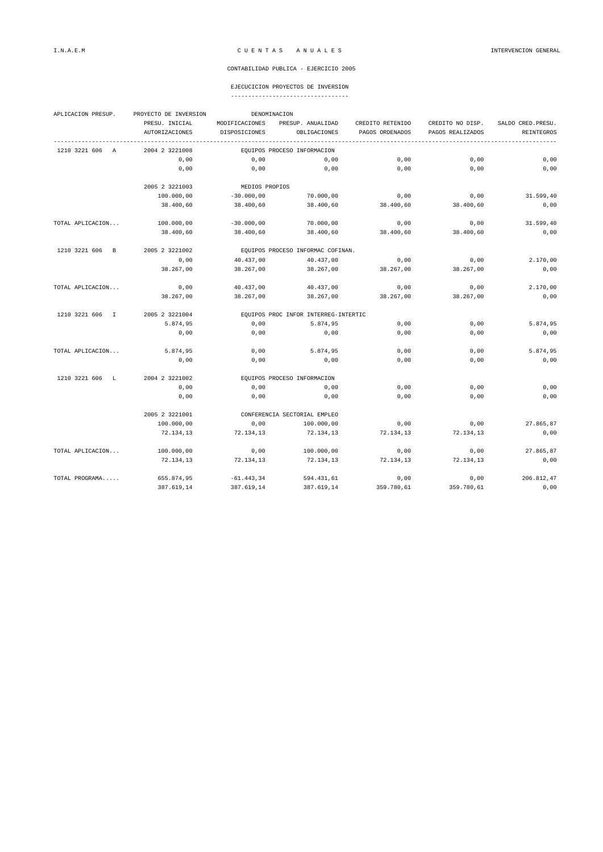#### CONTABILIDAD PUBLICA - EJERCICIO 2005

### EJECUCICION PROYECTOS DE INVERSION

----------------------------------

| APLICACION PRESUP. | DENOMINACION<br>PROYECTO DE INVERSION |                                      |                             |                  |                  |                   |  |
|--------------------|---------------------------------------|--------------------------------------|-----------------------------|------------------|------------------|-------------------|--|
|                    | PRESU. INICIAL                        | MODIFICACIONES                       | PRESUP. ANUALIDAD           | CREDITO RETENIDO | CREDITO NO DISP. | SALDO CRED. PRESU |  |
|                    | AUTORIZACIONES                        | DISPOSICIONES                        | OBLIGACIONES                | PAGOS ORDENADOS  | PAGOS REALIZADOS | REINTEGROS        |  |
| 1210 3221 606 A    | 2004 2 3221008                        |                                      | EQUIPOS PROCESO INFORMACION |                  |                  |                   |  |
|                    | 0,00                                  | 0,00                                 | 0,00                        | 0,00             | 0,00             | 0,00              |  |
|                    | 0,00                                  | 0,00                                 | 0,00                        | 0,00             | 0,00             | 0,00              |  |
|                    | 2005 2 3221003                        | MEDIOS PROPIOS                       |                             |                  |                  |                   |  |
|                    | 100.000,00                            | $-30.000,00$                         | 70.000,00                   | 0,00             | 0,00             | 31.599,40         |  |
|                    | 38.400,60                             | 38.400,60                            | 38.400,60                   | 38.400,60        | 38.400,60        | 0,00              |  |
| TOTAL APLICACION   | 100.000,00                            | $-30.000,00$                         | 70.000,00                   | 0,00             | 0,00             | 31.599,40         |  |
|                    | 38.400,60                             | 38.400,60                            | 38.400,60                   | 38.400,60        | 38.400,60        | 0,00              |  |
| 1210 3221 606 B    | 2005 2 3221002                        | EQUIPOS PROCESO INFORMAC COFINAN.    |                             |                  |                  |                   |  |
|                    | 0,00                                  | 40.437,00                            | 40.437,00                   | 0,00             | 0,00             | 2.170,00          |  |
|                    | 38.267,00                             | 38.267,00                            | 38.267,00                   | 38.267,00        | 38.267,00        | 0,00              |  |
| TOTAL APLICACION   | 0,00                                  | 40.437,00                            | 40.437,00                   | 0,00             | 0,00             | 2.170,00          |  |
|                    | 38.267,00                             | 38.267,00                            | 38.267,00                   | 38.267,00        | 38.267,00        | 0,00              |  |
| 1210 3221 606 I    | 2005 2 3221004                        | EQUIPOS PROC INFOR INTERREG-INTERTIC |                             |                  |                  |                   |  |
|                    | 5.874,95                              | 0,00                                 | 5.874,95                    | 0,00             | 0,00             | 5.874,95          |  |
|                    | 0,00                                  | 0,00                                 | 0,00                        | 0,00             | 0,00             | 0,00              |  |
| TOTAL APLICACION   | 5.874,95                              | 0,00                                 | 5.874,95                    | 0,00             | 0,00             | 5.874,95          |  |
|                    | 0.00                                  | 0,00                                 | 0.00                        | 0.00             | 0.00             | 0,00              |  |
| 1210 3221 606 L    | 2004 2 3221002                        | EQUIPOS PROCESO INFORMACION          |                             |                  |                  |                   |  |
|                    | 0,00                                  | 0,00                                 | 0,00                        | 0,00             | 0,00             | 0,00              |  |
|                    | 0,00                                  | 0,00                                 | 0,00                        | 0,00             | 0,00             | 0,00              |  |
|                    | 2005 2 3221001                        | CONFERENCIA SECTORIAL EMPLEO         |                             |                  |                  |                   |  |
|                    | 100.000,00                            | 0.00                                 | 100.000,00                  | 0.00             | 0.00             | 27.865.87         |  |
|                    | 72.134,13                             | 72.134,13                            | 72.134,13                   | 72.134,13        | 72.134,13        | 0,00              |  |
| TOTAL APLICACION   | 100.000,00                            | 0,00                                 | 100.000,00                  | 0,00             | 0,00             | 27.865,87         |  |
|                    | 72.134,13                             | 72.134,13                            | 72.134,13                   | 72.134,13        | 72.134,13        | 0,00              |  |
| TOTAL PROGRAMA     | 655.874,95                            | $-61.443,34$                         | 594.431,61                  | 0,00             | 0,00             | 206.812,47        |  |
|                    | 387.619.14                            | 387.619,14                           | 387.619,14                  | 359.780,61       | 359.780,61       | 0,00              |  |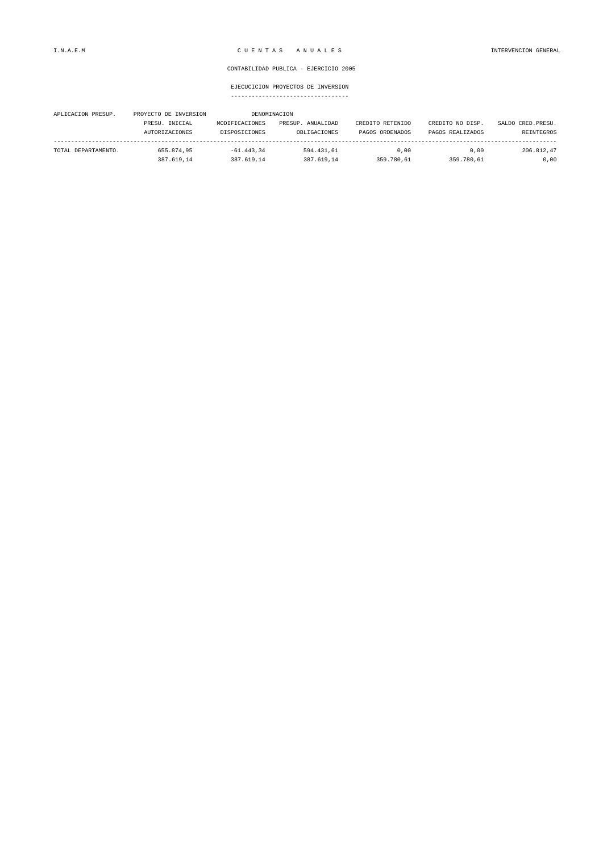#### CONTABILIDAD PUBLICA - EJERCICIO 2005

EJECUCICION PROYECTOS DE INVERSION ----------------------------------

| APLICACION PRESUP.  | PROYECTO DE INVERSION |                | DENOMINACION      |                  |                  |                    |
|---------------------|-----------------------|----------------|-------------------|------------------|------------------|--------------------|
|                     | PRESU. INICIAL        | MODIFICACIONES | PRESUP. ANUALIDAD | CREDITO RETENIDO | CREDITO NO DISP. | SALDO CRED. PRESU. |
|                     | <b>AUTORIZACIONES</b> | DISPOSICIONES  | OBLIGACIONES      | PAGOS ORDENADOS  | PAGOS REALIZADOS | REINTEGROS         |
| TOTAL DEPARTAMENTO. | 655.874.95            | $-61.443.34$   | 594.431.61        | 0.00             | 0.00             | 206.812.47         |
|                     | 387.619.14            | 387.619.14     | 387.619.14        | 359.780.61       | 359.780.61       | 0,00               |